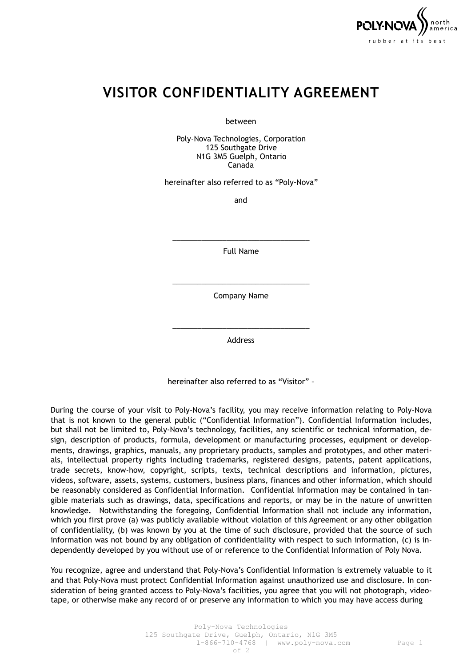

## **VISITOR CONFIDENTIALITY AGREEMENT**

between

Poly-Nova Technologies, Corporation 125 Southgate Drive N1G 3M5 Guelph, Ontario Canada

hereinafter also referred to as "Poly-Nova"

and

\_\_\_\_\_\_\_\_\_\_\_\_\_\_\_\_\_\_\_\_\_\_\_\_\_\_\_\_\_\_\_\_\_ Full Name

\_\_\_\_\_\_\_\_\_\_\_\_\_\_\_\_\_\_\_\_\_\_\_\_\_\_\_\_\_\_\_\_\_ Company Name

\_\_\_\_\_\_\_\_\_\_\_\_\_\_\_\_\_\_\_\_\_\_\_\_\_\_\_\_\_\_\_\_\_ Address

hereinafter also referred to as "Visitor" –

During the course of your visit to Poly-Nova's facility, you may receive information relating to Poly-Nova that is not known to the general public ("Confidential Information"). Confidential Information includes, but shall not be limited to, Poly-Nova's technology, facilities, any scientific or technical information, design, description of products, formula, development or manufacturing processes, equipment or developments, drawings, graphics, manuals, any proprietary products, samples and prototypes, and other materials, intellectual property rights including trademarks, registered designs, patents, patent applications, trade secrets, know-how, copyright, scripts, texts, technical descriptions and information, pictures, videos, software, assets, systems, customers, business plans, finances and other information, which should be reasonably considered as Confidential Information. Confidential Information may be contained in tangible materials such as drawings, data, specifications and reports, or may be in the nature of unwritten knowledge. Notwithstanding the foregoing, Confidential Information shall not include any information, which you first prove (a) was publicly available without violation of this Agreement or any other obligation of confidentiality, (b) was known by you at the time of such disclosure, provided that the source of such information was not bound by any obligation of confidentiality with respect to such information, (c) is independently developed by you without use of or reference to the Confidential Information of Poly Nova.

You recognize, agree and understand that Poly-Nova's Confidential Information is extremely valuable to it and that Poly-Nova must protect Confidential Information against unauthorized use and disclosure. In consideration of being granted access to Poly-Nova's facilities, you agree that you will not photograph, videotape, or otherwise make any record of or preserve any information to which you may have access during